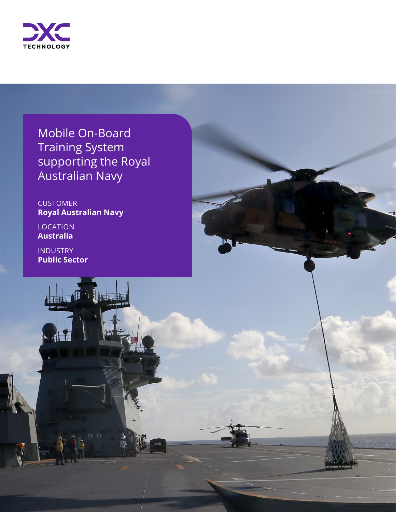

Mobile On-Board Training System supporting the Royal Australian Navy

**CUSTOMER Royal Australian Navy**

**LOCATION Australia** 

INDUSTRY **Public Sector**

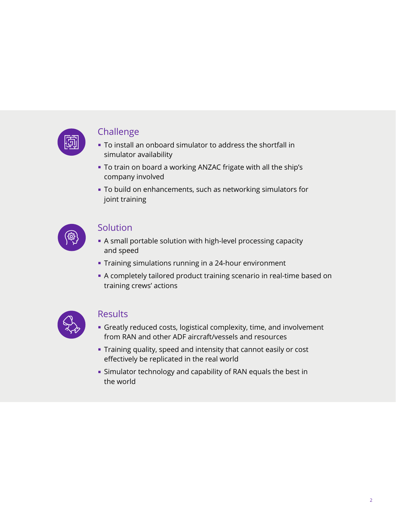

#### **Challenge**

- To install an onboard simulator to address the shortfall in simulator availability
- To train on board a working ANZAC frigate with all the ship's company involved
- To build on enhancements, such as networking simulators for joint training



#### Solution

- A small portable solution with high-level processing capacity and speed
- Training simulations running in a 24-hour environment
- A completely tailored product training scenario in real-time based on training crews' actions



#### **Results**

- Greatly reduced costs, logistical complexity, time, and involvement from RAN and other ADF aircraft/vessels and resources
- Training quality, speed and intensity that cannot easily or cost effectively be replicated in the real world
- Simulator technology and capability of RAN equals the best in the world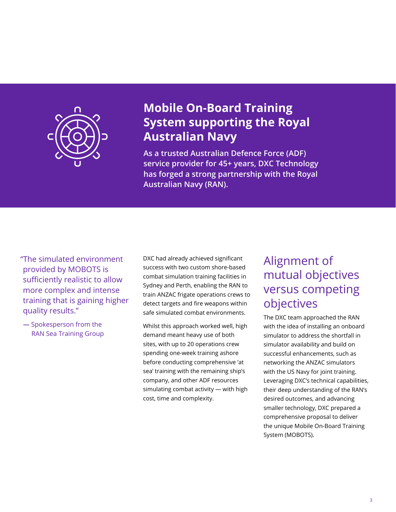

### **Mobile On-Board Training System supporting the Royal Australian Navy**

**As a trusted Australian Defence Force (ADF) service provider for 45+ years, DXC Technology has forged a strong partnership with the Royal Australian Navy (RAN).** 

"The simulated environment provided by MOBOTS is sufficiently realistic to allow more complex and intense training that is gaining higher quality results."

**—** Spokesperson from the RAN Sea Training Group DXC had already achieved significant success with two custom shore-based combat simulation training facilities in Sydney and Perth, enabling the RAN to train ANZAC frigate operations crews to detect targets and fire weapons within safe simulated combat environments.

Whilst this approach worked well, high demand meant heavy use of both sites, with up to 20 operations crew spending one-week training ashore before conducting comprehensive 'at sea' training with the remaining ship's company, and other ADF resources simulating combat activity — with high cost, time and complexity.

## Alignment of mutual objectives versus competing objectives

The DXC team approached the RAN with the idea of installing an onboard simulator to address the shortfall in simulator availability and build on successful enhancements, such as networking the ANZAC simulators with the US Navy for joint training. Leveraging DXC's technical capabilities, their deep understanding of the RAN's desired outcomes, and advancing smaller technology, DXC prepared a comprehensive proposal to deliver the unique Mobile On-Board Training System (MOBOTS).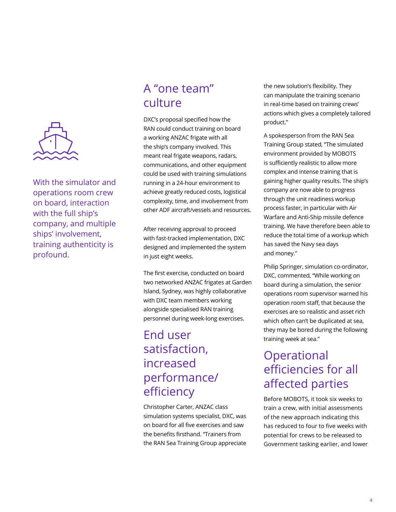

With the simulator and operations room crew on board, interaction with the full ship's company, and multiple ships' involvement, training authenticity is profound.

# A "one team" culture

DXC's proposal specified how the RAN could conduct training on board a working ANZAC frigate with all the ship's company involved. This meant real frigate weapons, radars, communications, and other equipment could be used with training simulations running in a 24-hour environment to achieve greatly reduced costs, logistical complexity, time, and involvement from other ADF aircraft/vessels and resources.

After receiving approval to proceed with fast-tracked implementation, DXC designed and implemented the system in just eight weeks.

The first exercise, conducted on board two networked ANZAC frigates at Garden Island, Sydney, was highly collaborative with DXC team members working alongside specialised RAN training personnel during week-long exercises.

# End user satisfaction, increased performance/ efficiency

Christopher Carter, ANZAC class simulation systems specialist, DXC, was on board for all five exercises and saw the benefits firsthand. "Trainers from the RAN Sea Training Group appreciate the new solution's flexibility. They can manipulate the training scenario in real-time based on training crews' actions which gives a completely tailored product."

A spokesperson from the RAN Sea Training Group stated, "The simulated environment provided by MOBOTS is sufficiently realistic to allow more complex and intense training that is gaining higher quality results. The ship's company are now able to progress through the unit readiness workup process faster, in particular with Air Warfare and Anti-Ship missile defence training. We have therefore been able to reduce the total time of a workup which has saved the Navy sea days and money."

Philip Springer, simulation co-ordinator, DXC, commented, "While working on board during a simulation, the senior operations room supervisor warned his operation room staff, that because the exercises are so realistic and asset rich which often can't be duplicated at sea, they may be bored during the following training week at sea."

# **Operational** efficiencies for all affected parties

Before MOBOTS, it took six weeks to train a crew, with initial assessments of the new approach indicating this has reduced to four to five weeks with potential for crews to be released to Government tasking earlier, and lower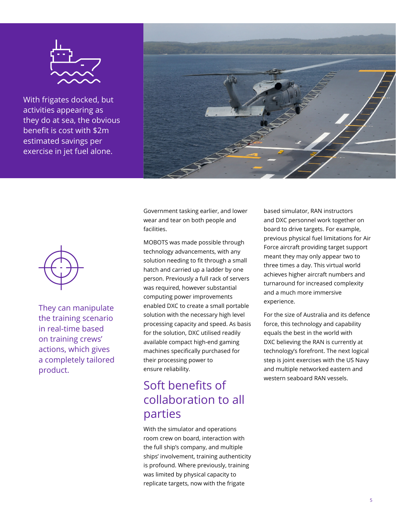

With frigates docked, but activities appearing as they do at sea, the obvious benefit is cost with \$2m estimated savings per exercise in jet fuel alone.





They can manipulate the training scenario in real-time based on training crews' actions, which gives a completely tailored product.

Government tasking earlier, and lower wear and tear on both people and facilities.

MOBOTS was made possible through technology advancements, with any solution needing to fit through a small hatch and carried up a ladder by one person. Previously a full rack of servers was required, however substantial computing power improvements enabled DXC to create a small portable solution with the necessary high level processing capacity and speed. As basis for the solution, DXC utilised readily available compact high-end gaming machines specifically purchased for their processing power to ensure reliability.

# Soft benefits of collaboration to all parties

With the simulator and operations room crew on board, interaction with the full ship's company, and multiple ships' involvement, training authenticity is profound. Where previously, training was limited by physical capacity to replicate targets, now with the frigate

based simulator, RAN instructors and DXC personnel work together on board to drive targets. For example, previous physical fuel limitations for Air Force aircraft providing target support meant they may only appear two to three times a day. This virtual world achieves higher aircraft numbers and turnaround for increased complexity and a much more immersive experience.

For the size of Australia and its defence force, this technology and capability equals the best in the world with DXC believing the RAN is currently at technology's forefront. The next logical step is joint exercises with the US Navy and multiple networked eastern and western seaboard RAN vessels.